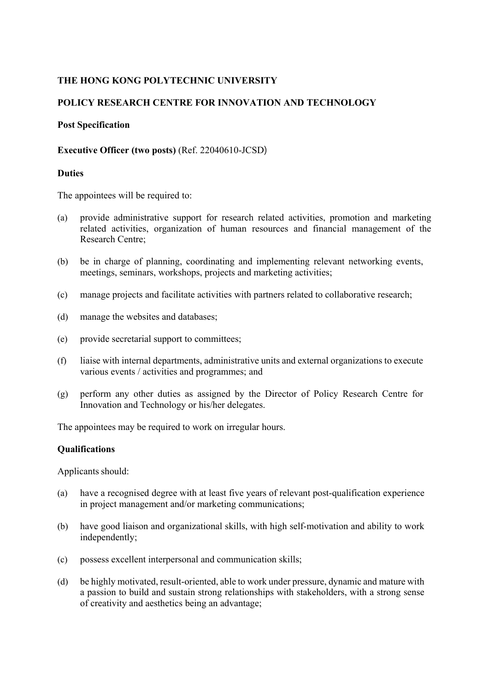# **THE HONG KONG POLYTECHNIC UNIVERSITY**

# **POLICY RESEARCH CENTRE FOR INNOVATION AND TECHNOLOGY**

#### **Post Specification**

### **Executive Officer (two posts)** (Ref. 22040610-JCSD)

#### **Duties**

The appointees will be required to:

- (a) provide administrative support for research related activities, promotion and marketing related activities, organization of human resources and financial management of the Research Centre;
- (b) be in charge of planning, coordinating and implementing relevant networking events, meetings, seminars, workshops, projects and marketing activities;
- (c) manage projects and facilitate activities with partners related to collaborative research;
- (d) manage the websites and databases;
- (e) provide secretarial support to committees;
- (f) liaise with internal departments, administrative units and external organizations to execute various events / activities and programmes; and
- (g) perform any other duties as assigned by the Director of Policy Research Centre for Innovation and Technology or his/her delegates.

The appointees may be required to work on irregular hours.

## **Qualifications**

Applicants should:

- (a) have a recognised degree with at least five years of relevant post-qualification experience in project management and/or marketing communications;
- (b) have good liaison and organizational skills, with high self-motivation and ability to work independently;
- (c) possess excellent interpersonal and communication skills;
- (d) be highly motivated, result-oriented, able to work under pressure, dynamic and mature with a passion to build and sustain strong relationships with stakeholders, with a strong sense of creativity and aesthetics being an advantage;